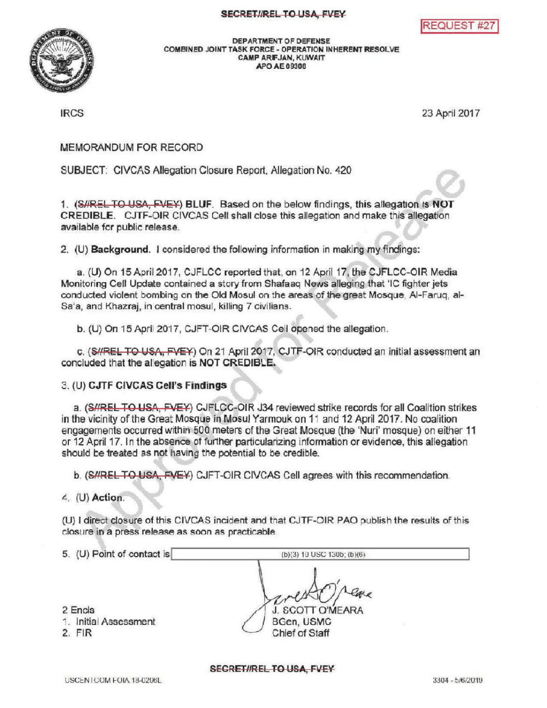

DEPARTMENT OF DEFENSE<br>COMBINED JOINT TASK FORCE - OPERATION IN<br>CAMP ARE JAN, KUWAIT COMBINED JOINT TASK FORCE - OPERATION INHERENT RESOLVE CAMP ARIFJAN, KUWAIT APOAE09306

IRCS 23 April2017

MEMORANDUM FOR RECORD

SUBJECT: CIVCAS Allegation Closure Report, Allegation No. 420

1. (S//REL TO USA, EVEY) BLUF. Based on the below findings, this allegation is NOT CREDIBLE. CJTF-OIR CIVCAS Cell shall close this allegation and make this allegation available for public release.

2. (U) Background. I considered the following information in making my findings:

a. (U) On 15 April 2017 , CJFLCC reported that, on 12 April 17 the CJFLCC -OIR Media Monitoring Cell Update contained a story from Shafaaq News alleging that 'IC fighter jets conducted violent bombing on the Old Mosul on the areas of the great Mosque, Al-Faruq, al-Sa'a, and Khazraj, in central mosul, killing 7 civilians.

b. (U) On 15 April 2017, CJFT-OIR CIVCAS Cell opened the allegation.

c. (SHREL TO USA, FVEY) On 21 April 2017, CJTF-OIR conducted an initial assessment an concluded that the allegation is NOT CREDIBLE.

3. (U) CJTF CIVCAS Cell's Findings

a. (S//RELTO USA, FVEY) CJFLCC-OIR J34 reviewed strike records for all Coalition strikes in the vicinity of the Great Mosque in Mosul Yarmouk on 11 and 12 April 2017. No coalition engagements occurred within 500 meters of the Great Mosque (the 'Nuri' mosque) on either 11 or 12 April 17. In the absence of further particularizing information or evidence, this allegation should be treated as not having the potential to be credible.

b. (SHREL TO USA, FVEY) CJFT-OIR CIVCAS Cell agrees with this recommendation.

 $4.$  (U) Action.

(U) I direct closure of this CIVCAS incident and that CJTF-OIR PAO publish the results of this closure in a press release as soon as practicable.

| 5. (U) Point of contact is       | $(b)(3) 10$ USC 130b; $(b)(6)$ |  |
|----------------------------------|--------------------------------|--|
|                                  |                                |  |
| 2 Encls<br>1. Initial Assessment | J. SCOTT O'MEARA<br>BGen, USMC |  |
| $2.$ FIR                         | Chief of Staff                 |  |

SECRETIREL TO USA, FVEY